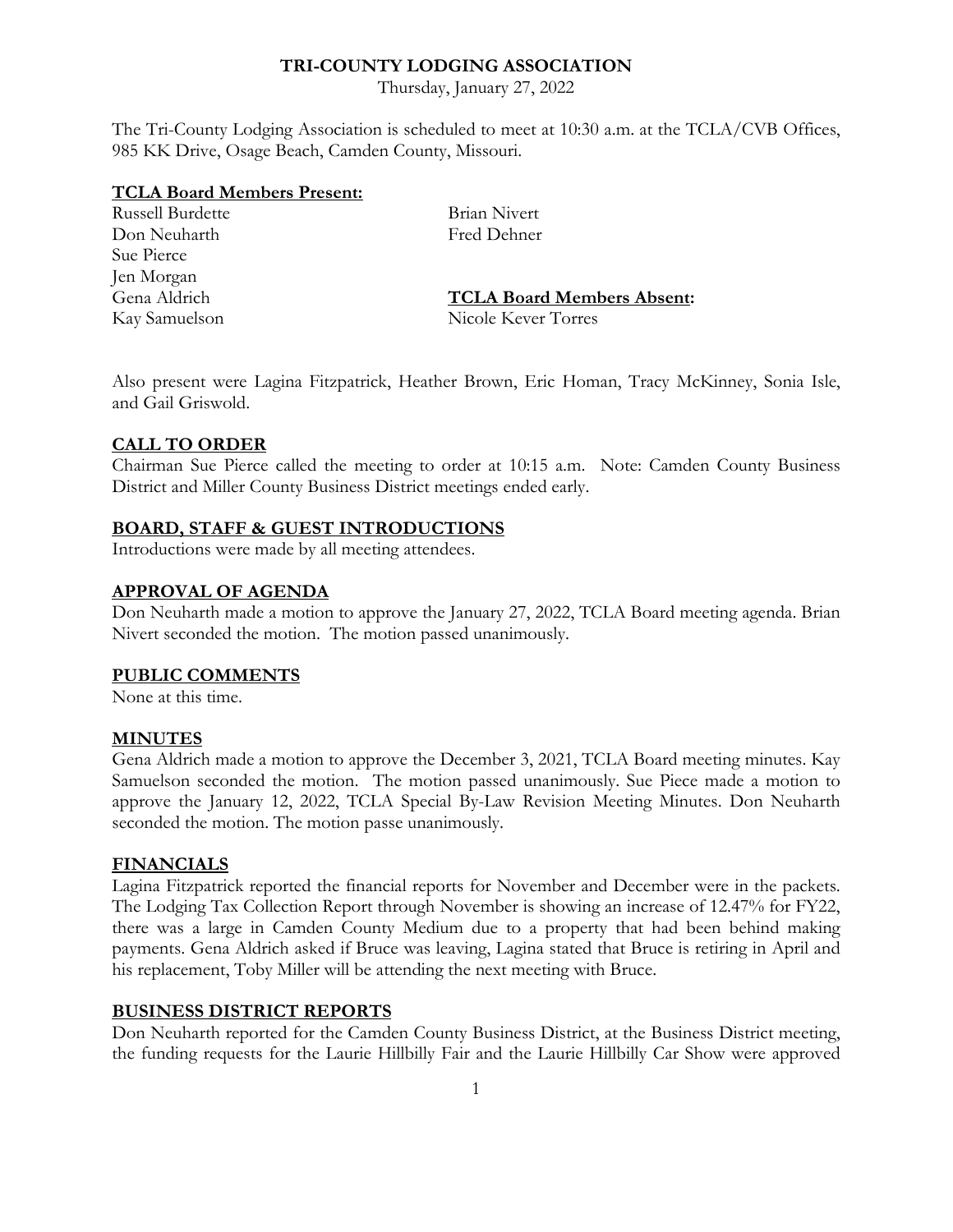# **TRI-COUNTY LODGING ASSOCIATION**

Thursday, January 27, 2022

The Tri-County Lodging Association is scheduled to meet at 10:30 a.m. at the TCLA/CVB Offices, 985 KK Drive, Osage Beach, Camden County, Missouri.

#### **TCLA Board Members Present:**

Russell Burdette Brian Nivert Don Neuharth Fred Dehner Sue Pierce Jen Morgan Kay Samuelson Nicole Kever Torres

Gena Aldrich **TCLA Board Members Absent:**

Also present were Lagina Fitzpatrick, Heather Brown, Eric Homan, Tracy McKinney, Sonia Isle, and Gail Griswold.

# **CALL TO ORDER**

Chairman Sue Pierce called the meeting to order at 10:15 a.m. Note: Camden County Business District and Miller County Business District meetings ended early.

# **BOARD, STAFF & GUEST INTRODUCTIONS**

Introductions were made by all meeting attendees.

# **APPROVAL OF AGENDA**

Don Neuharth made a motion to approve the January 27, 2022, TCLA Board meeting agenda. Brian Nivert seconded the motion. The motion passed unanimously.

#### **PUBLIC COMMENTS**

None at this time.

#### **MINUTES**

Gena Aldrich made a motion to approve the December 3, 2021, TCLA Board meeting minutes. Kay Samuelson seconded the motion. The motion passed unanimously. Sue Piece made a motion to approve the January 12, 2022, TCLA Special By-Law Revision Meeting Minutes. Don Neuharth seconded the motion. The motion passe unanimously.

# **FINANCIALS**

Lagina Fitzpatrick reported the financial reports for November and December were in the packets. The Lodging Tax Collection Report through November is showing an increase of 12.47% for FY22, there was a large in Camden County Medium due to a property that had been behind making payments. Gena Aldrich asked if Bruce was leaving, Lagina stated that Bruce is retiring in April and his replacement, Toby Miller will be attending the next meeting with Bruce.

# **BUSINESS DISTRICT REPORTS**

Don Neuharth reported for the Camden County Business District, at the Business District meeting, the funding requests for the Laurie Hillbilly Fair and the Laurie Hillbilly Car Show were approved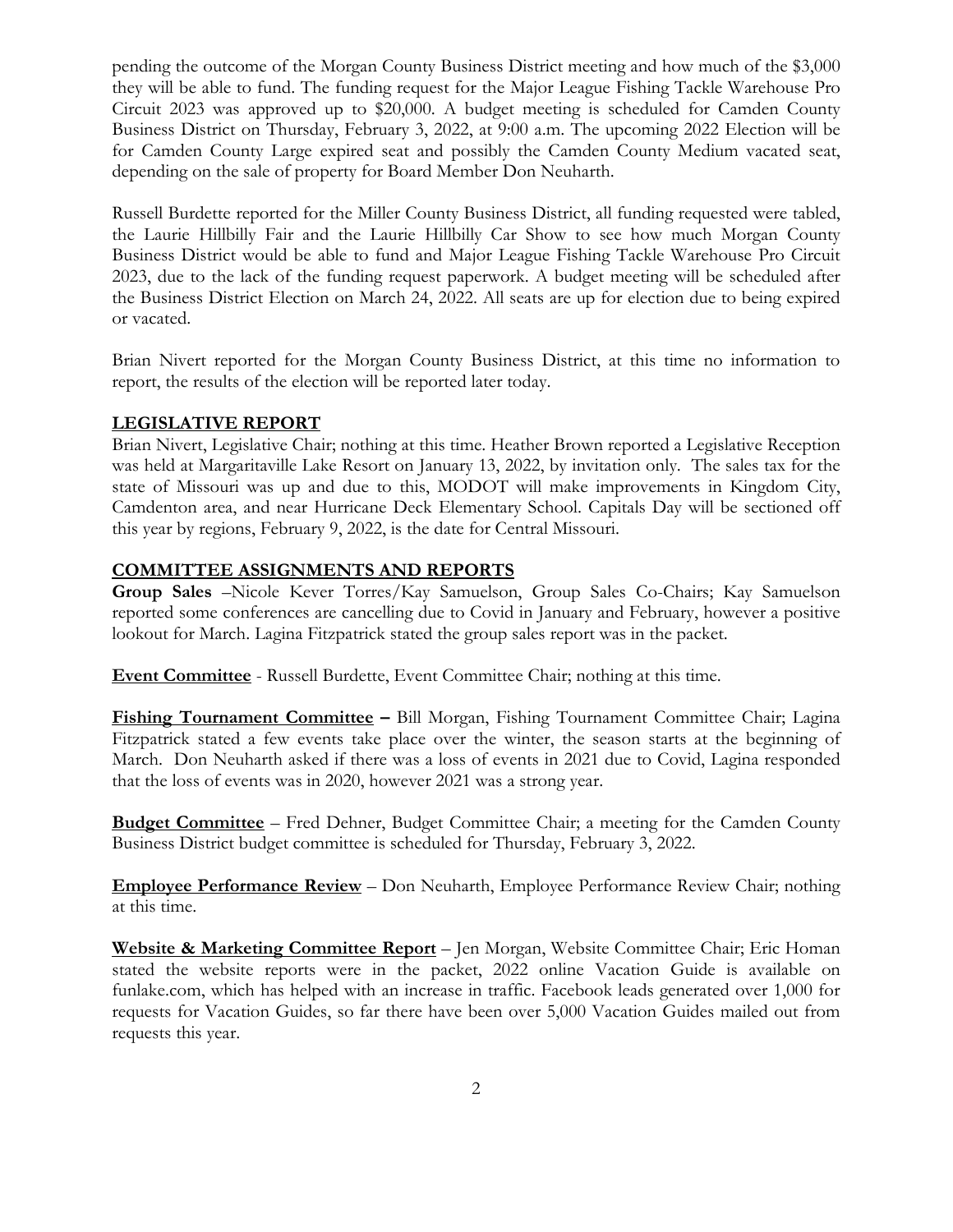pending the outcome of the Morgan County Business District meeting and how much of the \$3,000 they will be able to fund. The funding request for the Major League Fishing Tackle Warehouse Pro Circuit 2023 was approved up to \$20,000. A budget meeting is scheduled for Camden County Business District on Thursday, February 3, 2022, at 9:00 a.m. The upcoming 2022 Election will be for Camden County Large expired seat and possibly the Camden County Medium vacated seat, depending on the sale of property for Board Member Don Neuharth.

Russell Burdette reported for the Miller County Business District, all funding requested were tabled, the Laurie Hillbilly Fair and the Laurie Hillbilly Car Show to see how much Morgan County Business District would be able to fund and Major League Fishing Tackle Warehouse Pro Circuit 2023, due to the lack of the funding request paperwork. A budget meeting will be scheduled after the Business District Election on March 24, 2022. All seats are up for election due to being expired or vacated.

Brian Nivert reported for the Morgan County Business District, at this time no information to report, the results of the election will be reported later today.

# **LEGISLATIVE REPORT**

Brian Nivert, Legislative Chair; nothing at this time. Heather Brown reported a Legislative Reception was held at Margaritaville Lake Resort on January 13, 2022, by invitation only. The sales tax for the state of Missouri was up and due to this, MODOT will make improvements in Kingdom City, Camdenton area, and near Hurricane Deck Elementary School. Capitals Day will be sectioned off this year by regions, February 9, 2022, is the date for Central Missouri.

# **COMMITTEE ASSIGNMENTS AND REPORTS**

**Group Sales** –Nicole Kever Torres/Kay Samuelson, Group Sales Co-Chairs; Kay Samuelson reported some conferences are cancelling due to Covid in January and February, however a positive lookout for March. Lagina Fitzpatrick stated the group sales report was in the packet.

**Event Committee** - Russell Burdette, Event Committee Chair; nothing at this time.

**Fishing Tournament Committee –** Bill Morgan, Fishing Tournament Committee Chair; Lagina Fitzpatrick stated a few events take place over the winter, the season starts at the beginning of March. Don Neuharth asked if there was a loss of events in 2021 due to Covid, Lagina responded that the loss of events was in 2020, however 2021 was a strong year.

**Budget Committee** – Fred Dehner, Budget Committee Chair; a meeting for the Camden County Business District budget committee is scheduled for Thursday, February 3, 2022.

**Employee Performance Review** – Don Neuharth, Employee Performance Review Chair; nothing at this time.

**Website & Marketing Committee Report** – Jen Morgan, Website Committee Chair; Eric Homan stated the website reports were in the packet, 2022 online Vacation Guide is available on funlake.com, which has helped with an increase in traffic. Facebook leads generated over 1,000 for requests for Vacation Guides, so far there have been over 5,000 Vacation Guides mailed out from requests this year.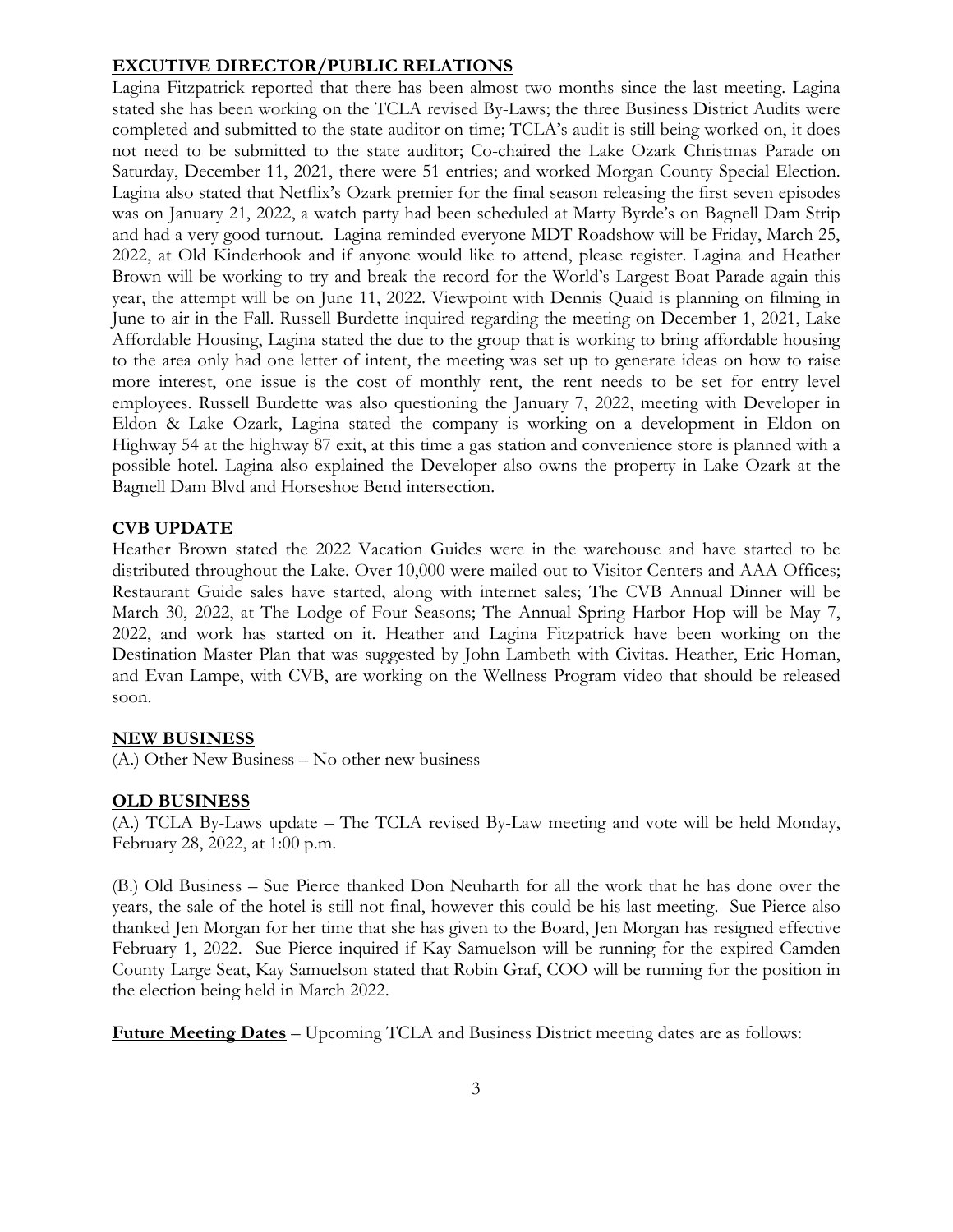#### **EXCUTIVE DIRECTOR/PUBLIC RELATIONS**

Lagina Fitzpatrick reported that there has been almost two months since the last meeting. Lagina stated she has been working on the TCLA revised By-Laws; the three Business District Audits were completed and submitted to the state auditor on time; TCLA's audit is still being worked on, it does not need to be submitted to the state auditor; Co-chaired the Lake Ozark Christmas Parade on Saturday, December 11, 2021, there were 51 entries; and worked Morgan County Special Election. Lagina also stated that Netflix's Ozark premier for the final season releasing the first seven episodes was on January 21, 2022, a watch party had been scheduled at Marty Byrde's on Bagnell Dam Strip and had a very good turnout. Lagina reminded everyone MDT Roadshow will be Friday, March 25, 2022, at Old Kinderhook and if anyone would like to attend, please register. Lagina and Heather Brown will be working to try and break the record for the World's Largest Boat Parade again this year, the attempt will be on June 11, 2022. Viewpoint with Dennis Quaid is planning on filming in June to air in the Fall. Russell Burdette inquired regarding the meeting on December 1, 2021, Lake Affordable Housing, Lagina stated the due to the group that is working to bring affordable housing to the area only had one letter of intent, the meeting was set up to generate ideas on how to raise more interest, one issue is the cost of monthly rent, the rent needs to be set for entry level employees. Russell Burdette was also questioning the January 7, 2022, meeting with Developer in Eldon & Lake Ozark, Lagina stated the company is working on a development in Eldon on Highway 54 at the highway 87 exit, at this time a gas station and convenience store is planned with a possible hotel. Lagina also explained the Developer also owns the property in Lake Ozark at the Bagnell Dam Blvd and Horseshoe Bend intersection.

#### **CVB UPDATE**

Heather Brown stated the 2022 Vacation Guides were in the warehouse and have started to be distributed throughout the Lake. Over 10,000 were mailed out to Visitor Centers and AAA Offices; Restaurant Guide sales have started, along with internet sales; The CVB Annual Dinner will be March 30, 2022, at The Lodge of Four Seasons; The Annual Spring Harbor Hop will be May 7, 2022, and work has started on it. Heather and Lagina Fitzpatrick have been working on the Destination Master Plan that was suggested by John Lambeth with Civitas. Heather, Eric Homan, and Evan Lampe, with CVB, are working on the Wellness Program video that should be released soon.

# **NEW BUSINESS**

(A.) Other New Business – No other new business

#### **OLD BUSINESS**

(A.) TCLA By-Laws update – The TCLA revised By-Law meeting and vote will be held Monday, February 28, 2022, at 1:00 p.m.

(B.) Old Business – Sue Pierce thanked Don Neuharth for all the work that he has done over the years, the sale of the hotel is still not final, however this could be his last meeting. Sue Pierce also thanked Jen Morgan for her time that she has given to the Board, Jen Morgan has resigned effective February 1, 2022. Sue Pierce inquired if Kay Samuelson will be running for the expired Camden County Large Seat, Kay Samuelson stated that Robin Graf, COO will be running for the position in the election being held in March 2022.

**Future Meeting Dates** – Upcoming TCLA and Business District meeting dates are as follows: